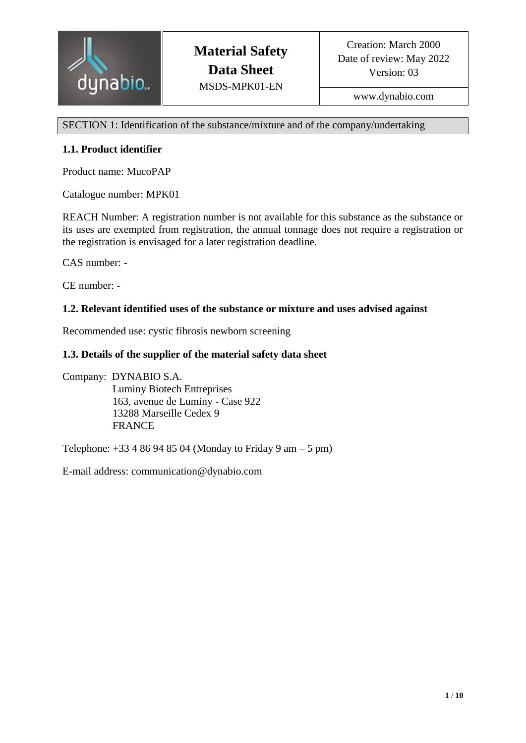

www.dynabio.com

SECTION 1: Identification of the substance/mixture and of the company/undertaking

## **1.1. Product identifier**

Product name: MucoPAP

Catalogue number: MPK01

REACH Number: A registration number is not available for this substance as the substance or its uses are exempted from registration, the annual tonnage does not require a registration or the registration is envisaged for a later registration deadline.

CAS number: -

CE number: -

### **1.2. Relevant identified uses of the substance or mixture and uses advised against**

Recommended use: cystic fibrosis newborn screening

### **1.3. Details of the supplier of the material safety data sheet**

Company: DYNABIO S.A. Luminy Biotech Entreprises 163, avenue de Luminy - Case 922 13288 Marseille Cedex 9 FRANCE

Telephone:  $+33486948504$  (Monday to Friday 9 am – 5 pm)

E-mail address: communication@dynabio.com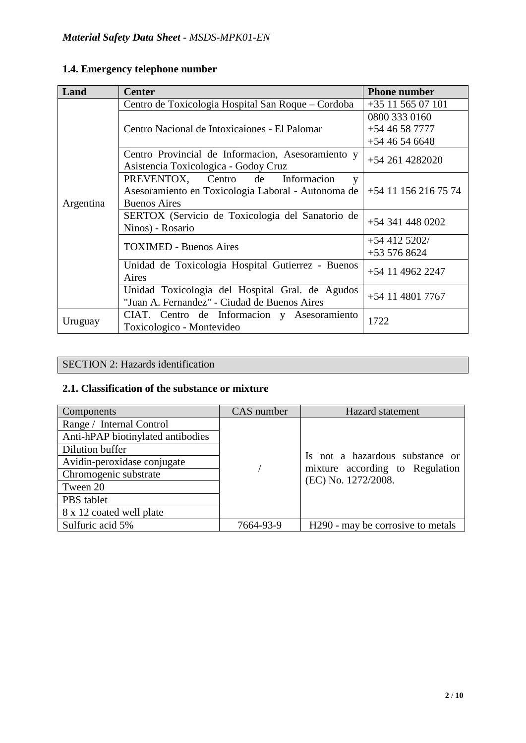| Land      | <b>Center</b>                                                                             | <b>Phone number</b>  |  |
|-----------|-------------------------------------------------------------------------------------------|----------------------|--|
|           | Centro de Toxicologia Hospital San Roque – Cordoba                                        | +35 11 565 07 101    |  |
|           |                                                                                           | 0800 333 0160        |  |
|           | Centro Nacional de Intoxicaiones - El Palomar                                             | $+5446587777$        |  |
|           |                                                                                           | $+5446546648$        |  |
|           | Centro Provincial de Informacion, Asesoramiento y<br>Asistencia Toxicologica - Godoy Cruz | $+542614282020$      |  |
| Argentina | PREVENTOX, Centro de<br>Informacion<br>y                                                  |                      |  |
|           | Asesoramiento en Toxicologia Laboral - Autonoma de                                        | +54 11 156 216 75 74 |  |
|           | <b>Buenos Aires</b>                                                                       |                      |  |
|           | SERTOX (Servicio de Toxicologia del Sanatorio de                                          | $+543414480202$      |  |
|           | Ninos) - Rosario                                                                          |                      |  |
|           | <b>TOXIMED - Buenos Aires</b>                                                             | $+544125202/$        |  |
|           |                                                                                           | $+535768624$         |  |
|           | Unidad de Toxicologia Hospital Gutierrez - Buenos                                         | +54 11 4962 2247     |  |
|           | Aires                                                                                     |                      |  |
|           | Unidad Toxicologia del Hospital Gral. de Agudos                                           | $+54$ 11 4801 7767   |  |
|           | "Juan A. Fernandez" - Ciudad de Buenos Aires                                              |                      |  |
| Uruguay   | CIAT. Centro de Informacion y Asesoramiento                                               | 1722                 |  |
|           | Toxicologico - Montevideo                                                                 |                      |  |

# **1.4. Emergency telephone number**

# SECTION 2: Hazards identification

# **2.1. Classification of the substance or mixture**

| Components                        | CAS number | <b>Hazard</b> statement                                |
|-----------------------------------|------------|--------------------------------------------------------|
| Range / Internal Control          |            |                                                        |
| Anti-hPAP biotinylated antibodies |            |                                                        |
| Dilution buffer                   |            |                                                        |
| Avidin-peroxidase conjugate       |            | Is not a hazardous substance or                        |
| Chromogenic substrate             |            | mixture according to Regulation<br>(EC) No. 1272/2008. |
| Tween 20                          |            |                                                        |
| PBS tablet                        |            |                                                        |
| 8 x 12 coated well plate          |            |                                                        |
| Sulfuric acid 5%                  | 7664-93-9  | H <sub>290</sub> - may be corrosive to metals          |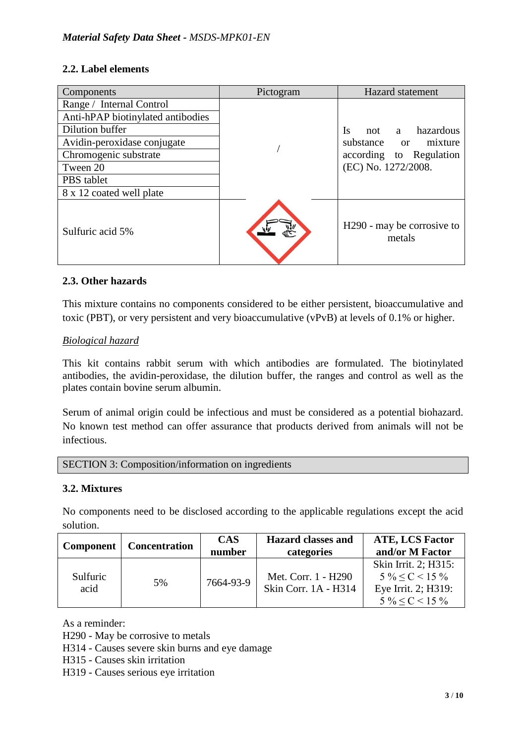# **2.2. Label elements**

| Components                        | Pictogram | <b>Hazard</b> statement                          |  |
|-----------------------------------|-----------|--------------------------------------------------|--|
| Range / Internal Control          |           |                                                  |  |
| Anti-hPAP biotinylated antibodies |           |                                                  |  |
| Dilution buffer                   |           | Is<br>hazardous<br>not<br>a a                    |  |
| Avidin-peroxidase conjugate       |           | substance or mixture                             |  |
| Chromogenic substrate             |           | according to Regulation                          |  |
| Tween 20                          |           | (EC) No. 1272/2008.                              |  |
| PBS tablet                        |           |                                                  |  |
| 8 x 12 coated well plate          |           |                                                  |  |
| Sulfuric acid 5%                  |           | H <sub>290</sub> - may be corrosive to<br>metals |  |

# **2.3. Other hazards**

This mixture contains no components considered to be either persistent, bioaccumulative and toxic (PBT), or very persistent and very bioaccumulative (vPvB) at levels of 0.1% or higher.

# *Biological hazard*

This kit contains rabbit serum with which antibodies are formulated. The biotinylated antibodies, the avidin-peroxidase, the dilution buffer, the ranges and control as well as the plates contain bovine serum albumin.

Serum of animal origin could be infectious and must be considered as a potential biohazard. No known test method can offer assurance that products derived from animals will not be infectious.

SECTION 3: Composition/information on ingredients

# **3.2. Mixtures**

No components need to be disclosed according to the applicable regulations except the acid solution.

| <b>Component</b> | <b>Concentration</b> | <b>CAS</b> | <b>Hazard classes and</b>                   | <b>ATE, LCS Factor</b>                                                                          |
|------------------|----------------------|------------|---------------------------------------------|-------------------------------------------------------------------------------------------------|
|                  |                      | number     | categories                                  | and/or M Factor                                                                                 |
| Sulfuric<br>acid | 5%                   | 7664-93-9  | Met. Corr. 1 - H290<br>Skin Corr. 1A - H314 | Skin Irrit. 2; H315:<br>$5\% \leq C \leq 15\%$<br>Eye Irrit. 2; H319:<br>$5\% \leq C \leq 15\%$ |

As a reminder:

H290 - May be corrosive to metals

H314 - Causes severe skin burns and eye damage

H315 - Causes skin irritation

H319 - Causes serious eye irritation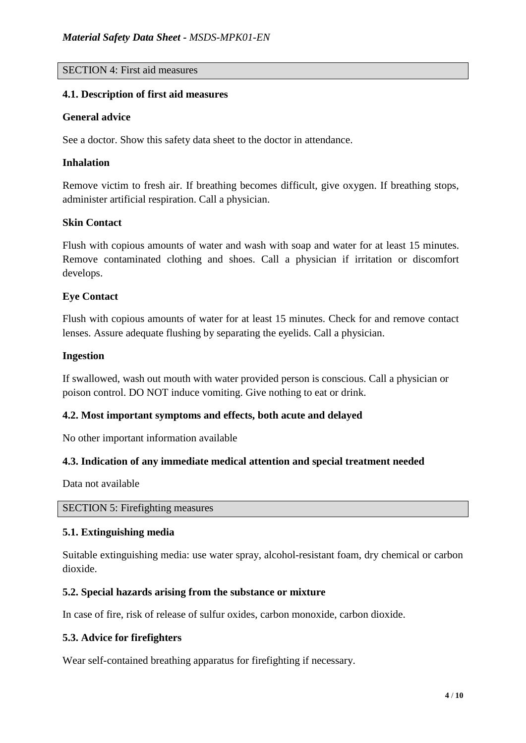## SECTION 4: First aid measures

#### **4.1. Description of first aid measures**

#### **General advice**

See a doctor. Show this safety data sheet to the doctor in attendance.

#### **Inhalation**

Remove victim to fresh air. If breathing becomes difficult, give oxygen. If breathing stops, administer artificial respiration. Call a physician.

#### **Skin Contact**

Flush with copious amounts of water and wash with soap and water for at least 15 minutes. Remove contaminated clothing and shoes. Call a physician if irritation or discomfort develops.

### **Eye Contact**

Flush with copious amounts of water for at least 15 minutes. Check for and remove contact lenses. Assure adequate flushing by separating the eyelids. Call a physician.

#### **Ingestion**

If swallowed, wash out mouth with water provided person is conscious. Call a physician or poison control. DO NOT induce vomiting. Give nothing to eat or drink.

### **4.2. Most important symptoms and effects, both acute and delayed**

No other important information available

### **4.3. Indication of any immediate medical attention and special treatment needed**

Data not available

SECTION 5: Firefighting measures

### **5.1. Extinguishing media**

Suitable extinguishing media: use water spray, alcohol-resistant foam, dry chemical or carbon dioxide.

### **5.2. Special hazards arising from the substance or mixture**

In case of fire, risk of release of sulfur oxides, carbon monoxide, carbon dioxide.

### **5.3. Advice for firefighters**

Wear self-contained breathing apparatus for firefighting if necessary.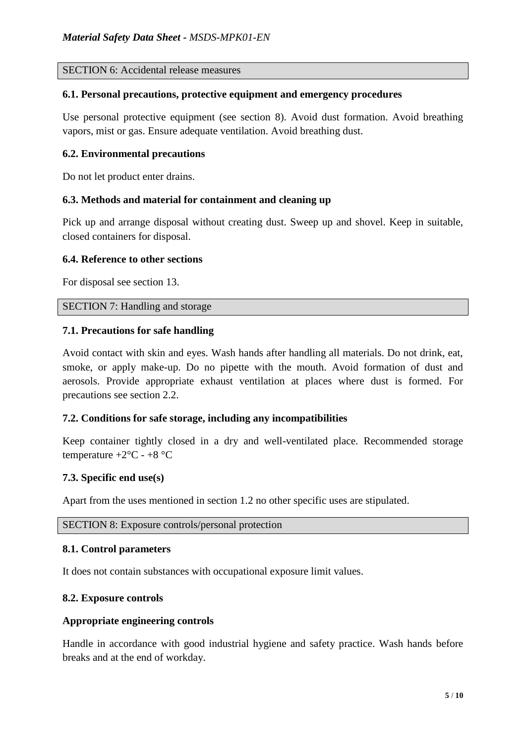SECTION 6: Accidental release measures

#### **6.1. Personal precautions, protective equipment and emergency procedures**

Use personal protective equipment (see section 8). Avoid dust formation. Avoid breathing vapors, mist or gas. Ensure adequate ventilation. Avoid breathing dust.

### **6.2. Environmental precautions**

Do not let product enter drains.

### **6.3. Methods and material for containment and cleaning up**

Pick up and arrange disposal without creating dust. Sweep up and shovel. Keep in suitable, closed containers for disposal.

#### **6.4. Reference to other sections**

For disposal see section 13.

### SECTION 7: Handling and storage

#### **7.1. Precautions for safe handling**

Avoid contact with skin and eyes. Wash hands after handling all materials. Do not drink, eat, smoke, or apply make-up. Do no pipette with the mouth. Avoid formation of dust and aerosols. Provide appropriate exhaust ventilation at places where dust is formed. For precautions see section 2.2.

### **7.2. Conditions for safe storage, including any incompatibilities**

Keep container tightly closed in a dry and well-ventilated place. Recommended storage temperature  $+2$ °C -  $+8$ °C

### **7.3. Specific end use(s)**

Apart from the uses mentioned in section 1.2 no other specific uses are stipulated.

SECTION 8: Exposure controls/personal protection

### **8.1. Control parameters**

It does not contain substances with occupational exposure limit values.

#### **8.2. Exposure controls**

#### **Appropriate engineering controls**

Handle in accordance with good industrial hygiene and safety practice. Wash hands before breaks and at the end of workday.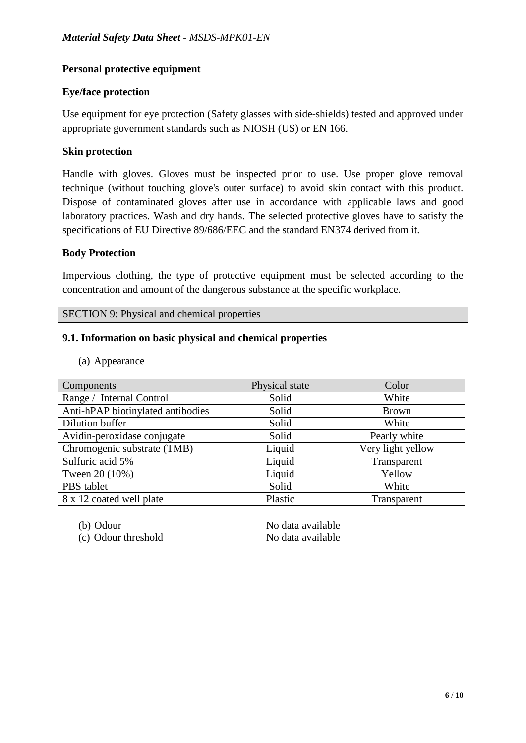# **Personal protective equipment**

# **Eye/face protection**

Use equipment for eye protection (Safety glasses with side-shields) tested and approved under appropriate government standards such as NIOSH (US) or EN 166.

# **Skin protection**

Handle with gloves. Gloves must be inspected prior to use. Use proper glove removal technique (without touching glove's outer surface) to avoid skin contact with this product. Dispose of contaminated gloves after use in accordance with applicable laws and good laboratory practices. Wash and dry hands. The selected protective gloves have to satisfy the specifications of EU Directive 89/686/EEC and the standard EN374 derived from it.

### **Body Protection**

Impervious clothing, the type of protective equipment must be selected according to the concentration and amount of the dangerous substance at the specific workplace.

SECTION 9: Physical and chemical properties

# **9.1. Information on basic physical and chemical properties**

(a) Appearance

| Components                        | Physical state | Color             |
|-----------------------------------|----------------|-------------------|
| Range / Internal Control          | Solid          | White             |
| Anti-hPAP biotinylated antibodies | Solid          | <b>Brown</b>      |
| Dilution buffer                   | Solid          | White             |
| Avidin-peroxidase conjugate       | Solid          | Pearly white      |
| Chromogenic substrate (TMB)       | Liquid         | Very light yellow |
| Sulfuric acid 5%                  | Liquid         | Transparent       |
| Tween 20 (10%)                    | Liquid         | Yellow            |
| PBS tablet                        | Solid          | White             |
| 8 x 12 coated well plate          | Plastic        | Transparent       |

(c) Odour threshold No data available

(b) Odour No data available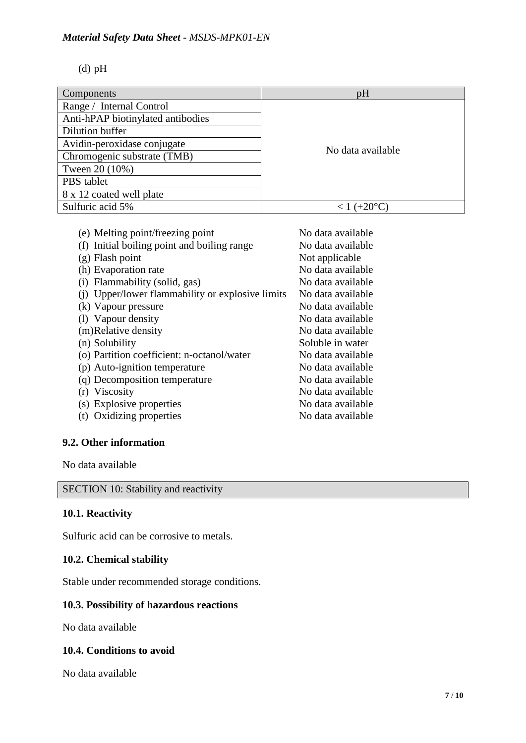### *Material Safety Data Sheet - MSDS-MPK01-EN*

(d) pH

| Components                        | pH                |
|-----------------------------------|-------------------|
| Range / Internal Control          |                   |
| Anti-hPAP biotinylated antibodies |                   |
| Dilution buffer                   |                   |
| Avidin-peroxidase conjugate       | No data available |
| Chromogenic substrate (TMB)       |                   |
| Tween 20 (10%)                    |                   |
| PBS tablet                        |                   |
| 8 x 12 coated well plate          |                   |
| Sulfuric acid 5%                  |                   |

| (e) Melting point/freezing point                 | No data available |
|--------------------------------------------------|-------------------|
| (f) Initial boiling point and boiling range      | No data available |
| $(g)$ Flash point                                | Not applicable    |
| (h) Evaporation rate                             | No data available |
| (i) Flammability (solid, gas)                    | No data available |
| (i) Upper/lower flammability or explosive limits | No data available |
| (k) Vapour pressure                              | No data available |
| (1) Vapour density                               | No data available |
| (m)Relative density                              | No data available |
| (n) Solubility                                   | Soluble in water  |
| (o) Partition coefficient: n-octanol/water       | No data available |
| (p) Auto-ignition temperature                    | No data available |
| (q) Decomposition temperature                    | No data available |
| (r) Viscosity                                    | No data available |
| (s) Explosive properties                         | No data available |
| (t) Oxidizing properties                         | No data available |
|                                                  |                   |

# **9.2. Other information**

No data available

SECTION 10: Stability and reactivity

# **10.1. Reactivity**

Sulfuric acid can be corrosive to metals.

### **10.2. Chemical stability**

Stable under recommended storage conditions.

# **10.3. Possibility of hazardous reactions**

No data available

### **10.4. Conditions to avoid**

No data available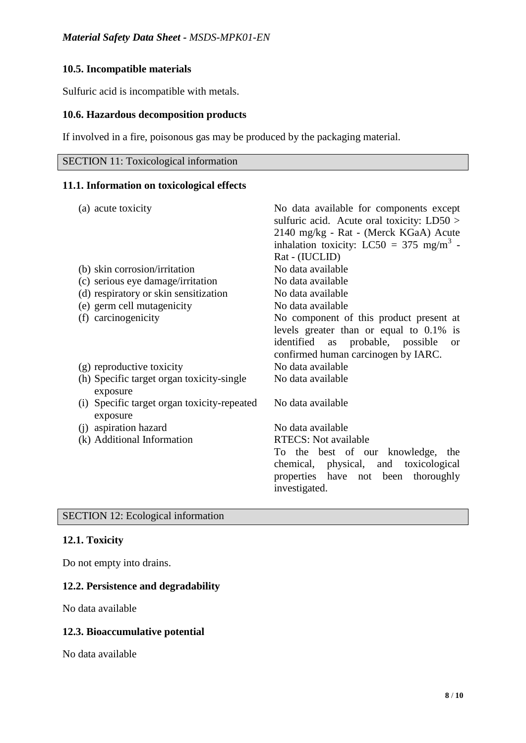# **10.5. Incompatible materials**

Sulfuric acid is incompatible with metals.

### **10.6. Hazardous decomposition products**

If involved in a fire, poisonous gas may be produced by the packaging material.

| <b>SECTION 11: Toxicological information</b> |  |
|----------------------------------------------|--|
|                                              |  |

### **11.1. Information on toxicological effects**

| (a) acute toxicity                                      | No data available for components except<br>sulfuric acid. Acute oral toxicity: $LD50 >$<br>2140 mg/kg - Rat - (Merck KGaA) Acute |
|---------------------------------------------------------|----------------------------------------------------------------------------------------------------------------------------------|
|                                                         | inhalation toxicity: LC50 = 375 mg/m <sup>3</sup> -                                                                              |
|                                                         | Rat - (IUCLID)                                                                                                                   |
| (b) skin corrosion/irritation                           | No data available                                                                                                                |
| (c) serious eye damage/irritation                       | No data available                                                                                                                |
| (d) respiratory or skin sensitization                   | No data available                                                                                                                |
| (e) germ cell mutagenicity                              | No data available                                                                                                                |
| (f) carcinogenicity                                     | No component of this product present at                                                                                          |
|                                                         | levels greater than or equal to $0.1\%$ is                                                                                       |
|                                                         | identified<br>as probable, possible<br><sub>or</sub><br>confirmed human carcinogen by IARC.                                      |
| (g) reproductive toxicity                               | No data available                                                                                                                |
| (h) Specific target organ toxicity-single<br>exposure   | No data available                                                                                                                |
| (i) Specific target organ toxicity-repeated<br>exposure | No data available                                                                                                                |
| (j) aspiration hazard                                   | No data available                                                                                                                |
| (k) Additional Information                              | <b>RTECS:</b> Not available                                                                                                      |
|                                                         | To the best of our knowledge, the                                                                                                |
|                                                         | chemical, physical, and toxicological                                                                                            |
|                                                         | properties have not been thoroughly                                                                                              |
|                                                         | investigated.                                                                                                                    |
|                                                         |                                                                                                                                  |

SECTION 12: Ecological information

# **12.1. Toxicity**

Do not empty into drains.

## **12.2. Persistence and degradability**

No data available

### **12.3. Bioaccumulative potential**

No data available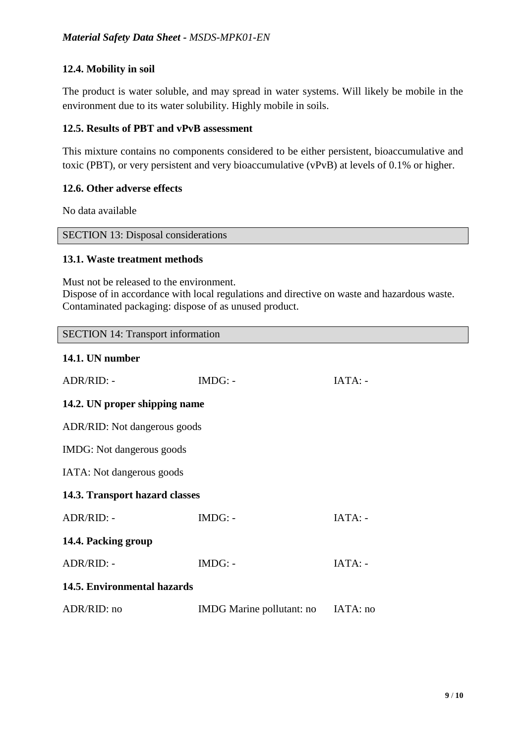# **12.4. Mobility in soil**

The product is water soluble, and may spread in water systems. Will likely be mobile in the environment due to its water solubility. Highly mobile in soils.

## **12.5. Results of PBT and vPvB assessment**

This mixture contains no components considered to be either persistent, bioaccumulative and toxic (PBT), or very persistent and very bioaccumulative (vPvB) at levels of 0.1% or higher.

### **12.6. Other adverse effects**

No data available

#### SECTION 13: Disposal considerations

### **13.1. Waste treatment methods**

Must not be released to the environment. Dispose of in accordance with local regulations and directive on waste and hazardous waste. Contaminated packaging: dispose of as unused product.

SECTION 14: Transport information

# **14.1. UN number**

| ADR/RID: -                     | $IMDG: -$                          | $IATA: -$ |  |  |
|--------------------------------|------------------------------------|-----------|--|--|
| 14.2. UN proper shipping name  |                                    |           |  |  |
| ADR/RID: Not dangerous goods   |                                    |           |  |  |
| IMDG: Not dangerous goods      |                                    |           |  |  |
| IATA: Not dangerous goods      |                                    |           |  |  |
| 14.3. Transport hazard classes |                                    |           |  |  |
| ADR/RID: -                     | $IMDG: -$                          | $IATA: -$ |  |  |
| 14.4. Packing group            |                                    |           |  |  |
| ADR/RID: -                     | $IMDG: -$                          | IATA: -   |  |  |
| 14.5. Environmental hazards    |                                    |           |  |  |
| ADR/RID: no                    | IMDG Marine pollutant: no IATA: no |           |  |  |